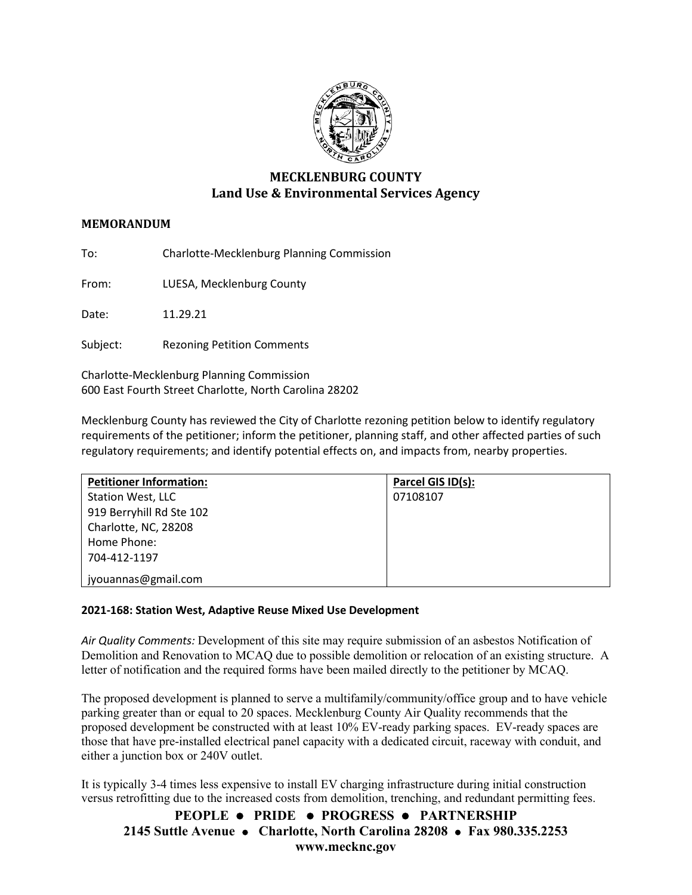

# **MECKLENBURG COUNTY Land Use & Environmental Services Agency**

# **MEMORANDUM**

To: Charlotte-Mecklenburg Planning Commission

From: LUESA, Mecklenburg County

Date: 11.29.21

Subject: Rezoning Petition Comments

Charlotte-Mecklenburg Planning Commission 600 East Fourth Street Charlotte, North Carolina 28202

Mecklenburg County has reviewed the City of Charlotte rezoning petition below to identify regulatory requirements of the petitioner; inform the petitioner, planning staff, and other affected parties of such regulatory requirements; and identify potential effects on, and impacts from, nearby properties.

| <b>Petitioner Information:</b> | Parcel GIS ID(s): |
|--------------------------------|-------------------|
| Station West, LLC              | 07108107          |
| 919 Berryhill Rd Ste 102       |                   |
| Charlotte, NC, 28208           |                   |
| Home Phone:                    |                   |
| 704-412-1197                   |                   |
| jyouannas@gmail.com            |                   |

## **2021-168: Station West, Adaptive Reuse Mixed Use Development**

*Air Quality Comments:* Development of this site may require submission of an asbestos Notification of Demolition and Renovation to MCAQ due to possible demolition or relocation of an existing structure. A letter of notification and the required forms have been mailed directly to the petitioner by MCAQ.

The proposed development is planned to serve a multifamily/community/office group and to have vehicle parking greater than or equal to 20 spaces. Mecklenburg County Air Quality recommends that the proposed development be constructed with at least 10% EV-ready parking spaces. EV-ready spaces are those that have pre-installed electrical panel capacity with a dedicated circuit, raceway with conduit, and either a junction box or 240V outlet.

It is typically 3-4 times less expensive to install EV charging infrastructure during initial construction versus retrofitting due to the increased costs from demolition, trenching, and redundant permitting fees.

**PEOPLE PRIDE PROGRESS PARTNERSHIP 2145 Suttle Avenue Charlotte, North Carolina 28208 Fax 980.335.2253 www.mecknc.gov**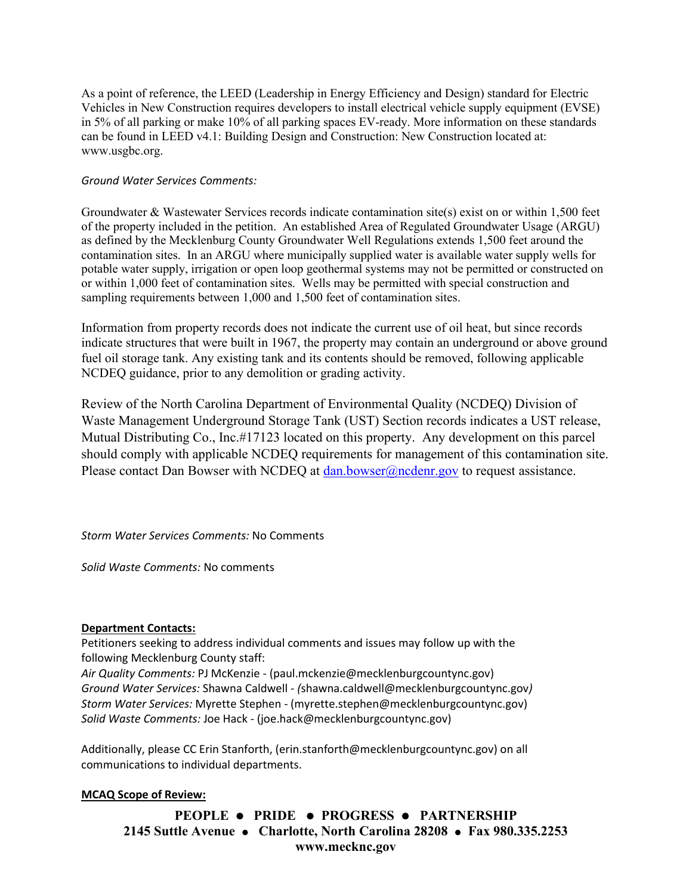As a point of reference, the LEED (Leadership in Energy Efficiency and Design) standard for Electric Vehicles in New Construction requires developers to install electrical vehicle supply equipment (EVSE) in 5% of all parking or make 10% of all parking spaces EV-ready. More information on these standards can be found in LEED v4.1: Building Design and Construction: New Construction located at: [www.usgbc.org.](http://www.usgbc.org/)

# *Ground Water Services Comments:*

Groundwater & Wastewater Services records indicate contamination site(s) exist on or within 1,500 feet of the property included in the petition. An established Area of Regulated Groundwater Usage (ARGU) as defined by the Mecklenburg County Groundwater Well Regulations extends 1,500 feet around the contamination sites. In an ARGU where municipally supplied water is available water supply wells for potable water supply, irrigation or open loop geothermal systems may not be permitted or constructed on or within 1,000 feet of contamination sites. Wells may be permitted with special construction and sampling requirements between 1,000 and 1,500 feet of contamination sites.

Information from property records does not indicate the current use of oil heat, but since records indicate structures that were built in 1967, the property may contain an underground or above ground fuel oil storage tank. Any existing tank and its contents should be removed, following applicable NCDEQ guidance, prior to any demolition or grading activity.

Review of the North Carolina Department of Environmental Quality (NCDEQ) Division of Waste Management Underground Storage Tank (UST) Section records indicates a UST release, Mutual Distributing Co., Inc.#17123 located on this property. Any development on this parcel should comply with applicable NCDEQ requirements for management of this contamination site. Please contact Dan Bowser with NCDEQ at [dan.bowser@ncdenr.gov](mailto:dan.bowser@ncdenr.gov) to request assistance.

*Storm Water Services Comments:* No Comments

*Solid Waste Comments:* No comments

## **Department Contacts:**

Petitioners seeking to address individual comments and issues may follow up with the following Mecklenburg County staff:

*Air Quality Comments:* PJ McKenzie - (paul.mckenzie@mecklenburgcountync.gov) *Ground Water Services:* Shawna Caldwell - *(*shawna.caldwell@mecklenburgcountync.gov*) Storm Water Services:* Myrette Stephen - (myrette.stephen@mecklenburgcountync.gov) *Solid Waste Comments:* Joe Hack - (joe.hack@mecklenburgcountync.gov)

Additionally, please CC Erin Stanforth, (erin.stanforth@mecklenburgcountync.gov) on all communications to individual departments.

## **MCAQ Scope of Review:**

**PEOPLE PRIDE PROGRESS PARTNERSHIP 2145 Suttle Avenue Charlotte, North Carolina 28208 Fax 980.335.2253 www.mecknc.gov**